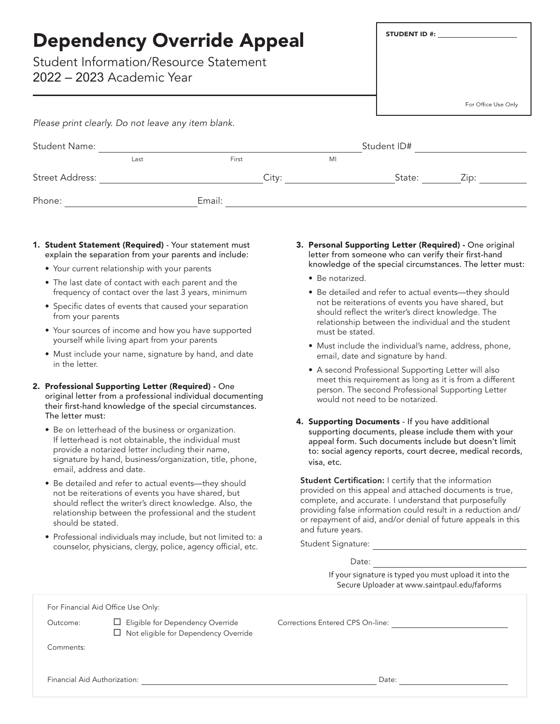| <b>Dependency Override Appeal</b><br><b>Student Information/Resource Statement</b><br>2022 – 2023 Academic Year |      |        |       |  | <b>STUDENT ID #:</b> |                     |  |
|-----------------------------------------------------------------------------------------------------------------|------|--------|-------|--|----------------------|---------------------|--|
|                                                                                                                 |      |        |       |  |                      | For Office Use Only |  |
| Please print clearly. Do not leave any item blank.                                                              |      |        |       |  |                      |                     |  |
| <b>Student Name:</b>                                                                                            |      |        |       |  | Student ID#          |                     |  |
|                                                                                                                 | Last | First  | MI    |  |                      |                     |  |
| Street Address:                                                                                                 |      |        | City: |  | State:               | Zip:                |  |
| Phone:                                                                                                          |      | Email: |       |  |                      |                     |  |

- 1. Student Statement (Required) Your statement must explain the separation from your parents and include:
	- Your current relationship with your parents
	- The last date of contact with each parent and the frequency of contact over the last 3 years, minimum
	- Specific dates of events that caused your separation from your parents
	- Your sources of income and how you have supported yourself while living apart from your parents
	- Must include your name, signature by hand, and date in the letter.
- 2. Professional Supporting Letter (Required) One original letter from a professional individual documenting their first-hand knowledge of the special circumstances. The letter must:
	- Be on letterhead of the business or organization. If letterhead is not obtainable, the individual must provide a notarized letter including their name, signature by hand, business/organization, title, phone, email, address and date.
	- Be detailed and refer to actual events—they should not be reiterations of events you have shared, but should reflect the writer's direct knowledge. Also, the relationship between the professional and the student should be stated.
	- Professional individuals may include, but not limited to: a counselor, physicians, clergy, police, agency official, etc.
- 3. Personal Supporting Letter (Required) One original letter from someone who can verify their first-hand knowledge of the special circumstances. The letter must:
	- Be notarized.
	- Be detailed and refer to actual events—they should not be reiterations of events you have shared, but should reflect the writer's direct knowledge. The relationship between the individual and the student must be stated.
	- Must include the individual's name, address, phone, email, date and signature by hand.
	- A second Professional Supporting Letter will also meet this requirement as long as it is from a different person. The second Professional Supporting Letter would not need to be notarized.
- 4. Supporting Documents If you have additional supporting documents, please include them with your appeal form. Such documents include but doesn't limit to: social agency reports, court decree, medical records, visa, etc.

Student Certification: I certify that the information provided on this appeal and attached documents is true, complete, and accurate. I understand that purposefully providing false information could result in a reduction and/ or repayment of aid, and/or denial of future appeals in this and future years.

Student Signature: We are a set of the state of the state of the state of the state of the state of the state of the state of the state of the state of the state of the state of the state of the state of the state of the s

Date:

If your signature is typed you must upload it into the Secure Uploader at www.saintpaul.edu/faforms

For Financial Aid Office Use Only:

□ Not eligible for Dependency Override

Outcome: **E**ligible for Dependency Override Corrections Entered CPS On-line:

Comments:

Financial Aid Authorization: Date: Date: Date: Date: Date: Date: Date: Date: Date: Date: Date: Date: Date: Date: Date: Date: Date: Date: Date: Date: Date: Date: Date: Date: Date: Date: Date: Date: Date: Date: Date: Date: D